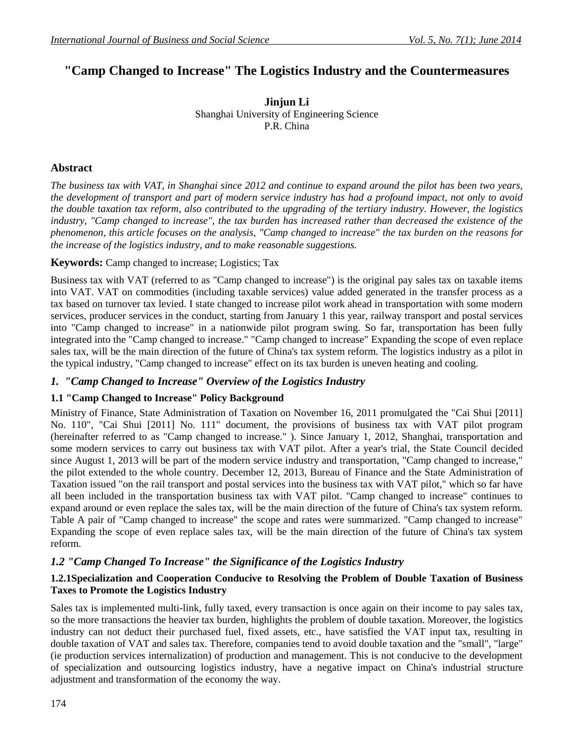# **"Camp Changed to Increase" The Logistics Industry and the Countermeasures**

**Jinjun Li** Shanghai University of Engineering Science P.R. China

## **Abstract**

*The business tax with VAT, in Shanghai since 2012 and continue to expand around the pilot has been two years, the development of transport and part of modern service industry has had a profound impact, not only to avoid the double taxation tax reform, also contributed to the upgrading of the tertiary industry. However, the logistics*  industry, "Camp changed to increase", the tax burden has increased rather than decreased the existence of the *phenomenon, this article focuses on the analysis, "Camp changed to increase" the tax burden on the reasons for the increase of the logistics industry, and to make reasonable suggestions.*

#### **Keywords:** Camp changed to increase; Logistics; Tax

Business tax with VAT (referred to as "Camp changed to increase") is the original pay sales tax on taxable items into VAT. VAT on commodities (including taxable services) value added generated in the transfer process as a tax based on turnover tax levied. I state changed to increase pilot work ahead in transportation with some modern services, producer services in the conduct, starting from January 1 this year, railway transport and postal services into "Camp changed to increase" in a nationwide pilot program swing. So far, transportation has been fully integrated into the "Camp changed to increase." "Camp changed to increase" Expanding the scope of even replace sales tax, will be the main direction of the future of China's tax system reform. The logistics industry as a pilot in the typical industry, "Camp changed to increase" effect on its tax burden is uneven heating and cooling.

## *1. "Camp Changed to Increase" Overview of the Logistics Industry*

#### **1.1 "Camp Changed to Increase" Policy Background**

Ministry of Finance, State Administration of Taxation on November 16, 2011 promulgated the "Cai Shui [2011] No. 110", "Cai Shui [2011] No. 111" document, the provisions of business tax with VAT pilot program (hereinafter referred to as "Camp changed to increase." ). Since January 1, 2012, Shanghai, transportation and some modern services to carry out business tax with VAT pilot. After a year's trial, the State Council decided since August 1, 2013 will be part of the modern service industry and transportation, "Camp changed to increase," the pilot extended to the whole country. December 12, 2013, Bureau of Finance and the State Administration of Taxation issued "on the rail transport and postal services into the business tax with VAT pilot," which so far have all been included in the transportation business tax with VAT pilot. "Camp changed to increase" continues to expand around or even replace the sales tax, will be the main direction of the future of China's tax system reform. Table A pair of "Camp changed to increase" the scope and rates were summarized. "Camp changed to increase" Expanding the scope of even replace sales tax, will be the main direction of the future of China's tax system reform.

## *1.2 "Camp Changed To Increase" the Significance of the Logistics Industry*

#### **1.2.1Specialization and Cooperation Conducive to Resolving the Problem of Double Taxation of Business Taxes to Promote the Logistics Industry**

Sales tax is implemented multi-link, fully taxed, every transaction is once again on their income to pay sales tax, so the more transactions the heavier tax burden, highlights the problem of double taxation. Moreover, the logistics industry can not deduct their purchased fuel, fixed assets, etc., have satisfied the VAT input tax, resulting in double taxation of VAT and sales tax. Therefore, companies tend to avoid double taxation and the "small", "large" (ie production services internalization) of production and management. This is not conducive to the development of specialization and outsourcing logistics industry, have a negative impact on China's industrial structure adjustment and transformation of the economy the way.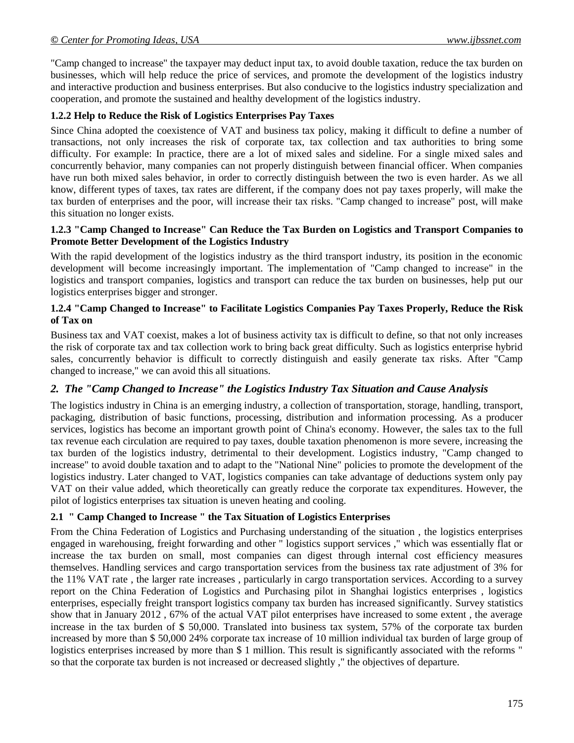"Camp changed to increase" the taxpayer may deduct input tax, to avoid double taxation, reduce the tax burden on businesses, which will help reduce the price of services, and promote the development of the logistics industry and interactive production and business enterprises. But also conducive to the logistics industry specialization and cooperation, and promote the sustained and healthy development of the logistics industry.

## **1.2.2 Help to Reduce the Risk of Logistics Enterprises Pay Taxes**

Since China adopted the coexistence of VAT and business tax policy, making it difficult to define a number of transactions, not only increases the risk of corporate tax, tax collection and tax authorities to bring some difficulty. For example: In practice, there are a lot of mixed sales and sideline. For a single mixed sales and concurrently behavior, many companies can not properly distinguish between financial officer. When companies have run both mixed sales behavior, in order to correctly distinguish between the two is even harder. As we all know, different types of taxes, tax rates are different, if the company does not pay taxes properly, will make the tax burden of enterprises and the poor, will increase their tax risks. "Camp changed to increase" post, will make this situation no longer exists.

#### **1.2.3 "Camp Changed to Increase" Can Reduce the Tax Burden on Logistics and Transport Companies to Promote Better Development of the Logistics Industry**

With the rapid development of the logistics industry as the third transport industry, its position in the economic development will become increasingly important. The implementation of "Camp changed to increase" in the logistics and transport companies, logistics and transport can reduce the tax burden on businesses, help put our logistics enterprises bigger and stronger.

### **1.2.4 "Camp Changed to Increase" to Facilitate Logistics Companies Pay Taxes Properly, Reduce the Risk of Tax on**

Business tax and VAT coexist, makes a lot of business activity tax is difficult to define, so that not only increases the risk of corporate tax and tax collection work to bring back great difficulty. Such as logistics enterprise hybrid sales, concurrently behavior is difficult to correctly distinguish and easily generate tax risks. After "Camp changed to increase," we can avoid this all situations.

## *2. The "Camp Changed to Increase" the Logistics Industry Tax Situation and Cause Analysis*

The logistics industry in China is an emerging industry, a collection of transportation, storage, handling, transport, packaging, distribution of basic functions, processing, distribution and information processing. As a producer services, logistics has become an important growth point of China's economy. However, the sales tax to the full tax revenue each circulation are required to pay taxes, double taxation phenomenon is more severe, increasing the tax burden of the logistics industry, detrimental to their development. Logistics industry, "Camp changed to increase" to avoid double taxation and to adapt to the "National Nine" policies to promote the development of the logistics industry. Later changed to VAT, logistics companies can take advantage of deductions system only pay VAT on their value added, which theoretically can greatly reduce the corporate tax expenditures. However, the pilot of logistics enterprises tax situation is uneven heating and cooling.

## **2.1 " Camp Changed to Increase " the Tax Situation of Logistics Enterprises**

From the China Federation of Logistics and Purchasing understanding of the situation , the logistics enterprises engaged in warehousing, freight forwarding and other " logistics support services ," which was essentially flat or increase the tax burden on small, most companies can digest through internal cost efficiency measures themselves. Handling services and cargo transportation services from the business tax rate adjustment of 3% for the 11% VAT rate , the larger rate increases , particularly in cargo transportation services. According to a survey report on the China Federation of Logistics and Purchasing pilot in Shanghai logistics enterprises , logistics enterprises, especially freight transport logistics company tax burden has increased significantly. Survey statistics show that in January 2012 , 67% of the actual VAT pilot enterprises have increased to some extent , the average increase in the tax burden of \$ 50,000. Translated into business tax system, 57% of the corporate tax burden increased by more than \$ 50,000 24% corporate tax increase of 10 million individual tax burden of large group of logistics enterprises increased by more than \$ 1 million. This result is significantly associated with the reforms " so that the corporate tax burden is not increased or decreased slightly ," the objectives of departure.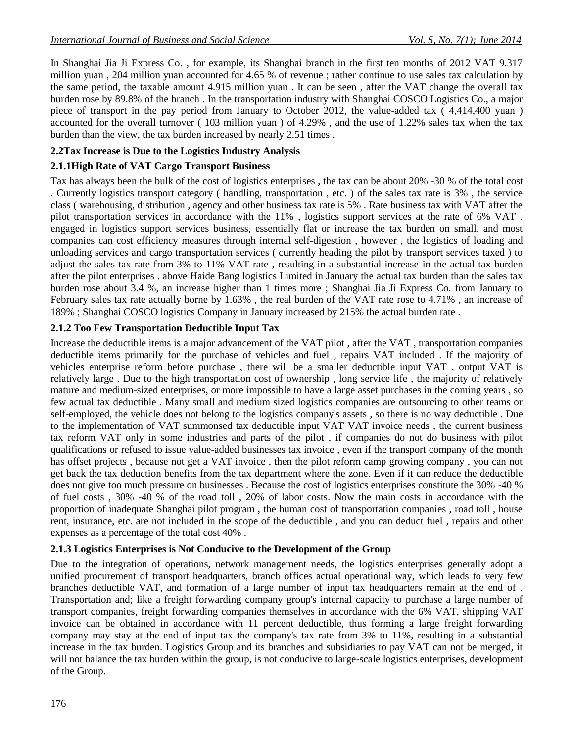In Shanghai Jia Ji Express Co. , for example, its Shanghai branch in the first ten months of 2012 VAT 9.317 million yuan , 204 million yuan accounted for 4.65 % of revenue ; rather continue to use sales tax calculation by the same period, the taxable amount 4.915 million yuan . It can be seen , after the VAT change the overall tax burden rose by 89.8% of the branch . In the transportation industry with Shanghai COSCO Logistics Co., a major piece of transport in the pay period from January to October 2012, the value-added tax ( 4,414,400 yuan ) accounted for the overall turnover ( 103 million yuan ) of 4.29% , and the use of 1.22% sales tax when the tax burden than the view, the tax burden increased by nearly 2.51 times .

#### **2.2Tax Increase is Due to the Logistics Industry Analysis**

#### **2.1.1High Rate of VAT Cargo Transport Business**

Tax has always been the bulk of the cost of logistics enterprises , the tax can be about 20% -30 % of the total cost . Currently logistics transport category ( handling, transportation , etc. ) of the sales tax rate is 3% , the service class ( warehousing, distribution , agency and other business tax rate is 5% . Rate business tax with VAT after the pilot transportation services in accordance with the 11% , logistics support services at the rate of 6% VAT . engaged in logistics support services business, essentially flat or increase the tax burden on small, and most companies can cost efficiency measures through internal self-digestion , however , the logistics of loading and unloading services and cargo transportation services ( currently heading the pilot by transport services taxed ) to adjust the sales tax rate from 3% to 11% VAT rate , resulting in a substantial increase in the actual tax burden after the pilot enterprises . above Haide Bang logistics Limited in January the actual tax burden than the sales tax burden rose about 3.4 %, an increase higher than 1 times more ; Shanghai Jia Ji Express Co. from January to February sales tax rate actually borne by 1.63% , the real burden of the VAT rate rose to 4.71% , an increase of 189% ; Shanghai COSCO logistics Company in January increased by 215% the actual burden rate .

#### **2.1.2 Too Few Transportation Deductible Input Tax**

Increase the deductible items is a major advancement of the VAT pilot , after the VAT , transportation companies deductible items primarily for the purchase of vehicles and fuel , repairs VAT included . If the majority of vehicles enterprise reform before purchase , there will be a smaller deductible input VAT , output VAT is relatively large . Due to the high transportation cost of ownership , long service life , the majority of relatively mature and medium-sized enterprises, or more impossible to have a large asset purchases in the coming years , so few actual tax deductible . Many small and medium sized logistics companies are outsourcing to other teams or self-employed, the vehicle does not belong to the logistics company's assets , so there is no way deductible . Due to the implementation of VAT summonsed tax deductible input VAT VAT invoice needs , the current business tax reform VAT only in some industries and parts of the pilot , if companies do not do business with pilot qualifications or refused to issue value-added businesses tax invoice , even if the transport company of the month has offset projects , because not get a VAT invoice , then the pilot reform camp growing company , you can not get back the tax deduction benefits from the tax department where the zone. Even if it can reduce the deductible does not give too much pressure on businesses . Because the cost of logistics enterprises constitute the 30% -40 % of fuel costs , 30% -40 % of the road toll , 20% of labor costs. Now the main costs in accordance with the proportion of inadequate Shanghai pilot program , the human cost of transportation companies , road toll , house rent, insurance, etc. are not included in the scope of the deductible , and you can deduct fuel , repairs and other expenses as a percentage of the total cost 40% .

#### **2.1.3 Logistics Enterprises is Not Conducive to the Development of the Group**

Due to the integration of operations, network management needs, the logistics enterprises generally adopt a unified procurement of transport headquarters, branch offices actual operational way, which leads to very few branches deductible VAT, and formation of a large number of input tax headquarters remain at the end of . Transportation and; like a freight forwarding company group's internal capacity to purchase a large number of transport companies, freight forwarding companies themselves in accordance with the 6% VAT, shipping VAT invoice can be obtained in accordance with 11 percent deductible, thus forming a large freight forwarding company may stay at the end of input tax the company's tax rate from 3% to 11%, resulting in a substantial increase in the tax burden. Logistics Group and its branches and subsidiaries to pay VAT can not be merged, it will not balance the tax burden within the group, is not conducive to large-scale logistics enterprises, development of the Group.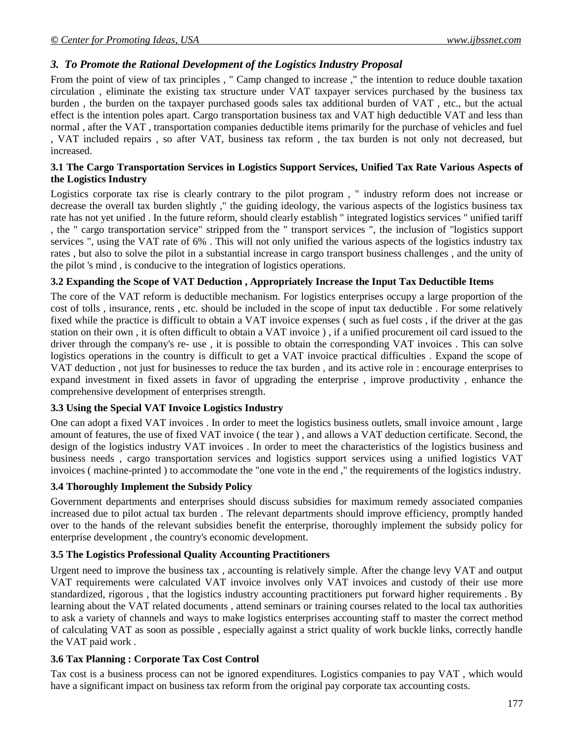## *3. To Promote the Rational Development of the Logistics Industry Proposal*

From the point of view of tax principles , " Camp changed to increase ," the intention to reduce double taxation circulation , eliminate the existing tax structure under VAT taxpayer services purchased by the business tax burden , the burden on the taxpayer purchased goods sales tax additional burden of VAT , etc., but the actual effect is the intention poles apart. Cargo transportation business tax and VAT high deductible VAT and less than normal , after the VAT , transportation companies deductible items primarily for the purchase of vehicles and fuel , VAT included repairs , so after VAT, business tax reform , the tax burden is not only not decreased, but increased.

#### **3.1 The Cargo Transportation Services in Logistics Support Services, Unified Tax Rate Various Aspects of the Logistics Industry**

Logistics corporate tax rise is clearly contrary to the pilot program , " industry reform does not increase or decrease the overall tax burden slightly ," the guiding ideology, the various aspects of the logistics business tax rate has not yet unified . In the future reform, should clearly establish " integrated logistics services " unified tariff , the " cargo transportation service" stripped from the " transport services ", the inclusion of "logistics support services ", using the VAT rate of 6% . This will not only unified the various aspects of the logistics industry tax rates , but also to solve the pilot in a substantial increase in cargo transport business challenges , and the unity of the pilot 's mind , is conducive to the integration of logistics operations.

## **3.2 Expanding the Scope of VAT Deduction , Appropriately Increase the Input Tax Deductible Items**

The core of the VAT reform is deductible mechanism. For logistics enterprises occupy a large proportion of the cost of tolls , insurance, rents , etc. should be included in the scope of input tax deductible . For some relatively fixed while the practice is difficult to obtain a VAT invoice expenses ( such as fuel costs , if the driver at the gas station on their own , it is often difficult to obtain a VAT invoice ) , if a unified procurement oil card issued to the driver through the company's re- use , it is possible to obtain the corresponding VAT invoices . This can solve logistics operations in the country is difficult to get a VAT invoice practical difficulties . Expand the scope of VAT deduction , not just for businesses to reduce the tax burden , and its active role in : encourage enterprises to expand investment in fixed assets in favor of upgrading the enterprise , improve productivity , enhance the comprehensive development of enterprises strength.

## **3.3 Using the Special VAT Invoice Logistics Industry**

One can adopt a fixed VAT invoices . In order to meet the logistics business outlets, small invoice amount , large amount of features, the use of fixed VAT invoice ( the tear ) , and allows a VAT deduction certificate. Second, the design of the logistics industry VAT invoices . In order to meet the characteristics of the logistics business and business needs , cargo transportation services and logistics support services using a unified logistics VAT invoices ( machine-printed ) to accommodate the "one vote in the end ," the requirements of the logistics industry.

#### **3.4 Thoroughly Implement the Subsidy Policy**

Government departments and enterprises should discuss subsidies for maximum remedy associated companies increased due to pilot actual tax burden . The relevant departments should improve efficiency, promptly handed over to the hands of the relevant subsidies benefit the enterprise, thoroughly implement the subsidy policy for enterprise development , the country's economic development.

## **3.5 The Logistics Professional Quality Accounting Practitioners**

Urgent need to improve the business tax , accounting is relatively simple. After the change levy VAT and output VAT requirements were calculated VAT invoice involves only VAT invoices and custody of their use more standardized, rigorous , that the logistics industry accounting practitioners put forward higher requirements . By learning about the VAT related documents , attend seminars or training courses related to the local tax authorities to ask a variety of channels and ways to make logistics enterprises accounting staff to master the correct method of calculating VAT as soon as possible , especially against a strict quality of work buckle links, correctly handle the VAT paid work .

#### **3.6 Tax Planning : Corporate Tax Cost Control**

Tax cost is a business process can not be ignored expenditures. Logistics companies to pay VAT , which would have a significant impact on business tax reform from the original pay corporate tax accounting costs.